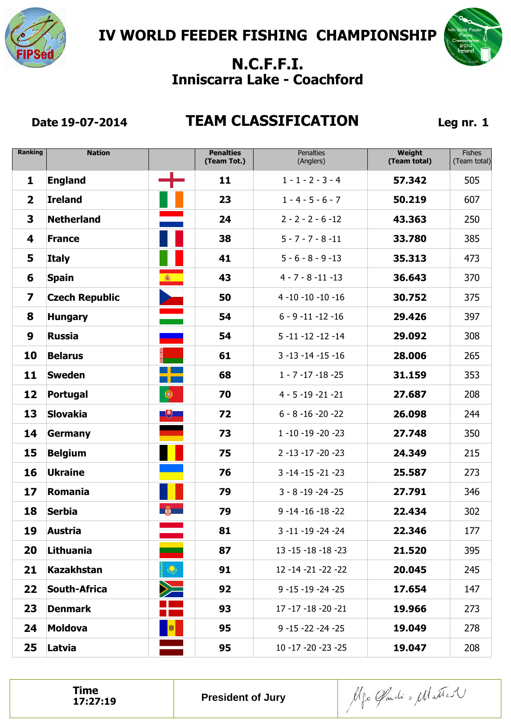



### **Date 19-07-2014 TEAM CLASSIFICATION Leg nr. 1**

| <b>Ranking</b>          | <b>Nation</b>         |            | <b>Penalties</b><br>(Team Tot.) | <b>Penalties</b><br>(Anglers) | Weight<br>(Team total) | <b>Fishes</b><br>(Team total) |
|-------------------------|-----------------------|------------|---------------------------------|-------------------------------|------------------------|-------------------------------|
| 1                       | <b>England</b>        |            | 11                              | $1 - 1 - 2 - 3 - 4$           | 57.342                 | 505                           |
| $\mathbf{2}$            | <b>Ireland</b>        |            | 23                              | $1 - 4 - 5 - 6 - 7$           | 50.219                 | 607                           |
| 3                       | <b>Netherland</b>     |            | 24                              | $2 - 2 - 2 - 6 - 12$          | 43.363                 | 250                           |
| 4                       | <b>France</b>         |            | 38                              | $5 - 7 - 7 - 8 - 11$          | 33.780                 | 385                           |
| 5                       | <b>Italy</b>          |            | 41                              | $5 - 6 - 8 - 9 - 13$          | 35.313                 | 473                           |
| 6                       | <b>Spain</b>          | 霉          | 43                              | $4 - 7 - 8 - 11 - 13$         | 36.643                 | 370                           |
| $\overline{\mathbf{z}}$ | <b>Czech Republic</b> |            | 50                              | $4 - 10 - 10 - 10 - 16$       | 30.752                 | 375                           |
| 8                       | <b>Hungary</b>        |            | 54                              | $6 - 9 - 11 - 12 - 16$        | 29.426                 | 397                           |
| 9                       | <b>Russia</b>         |            | 54                              | $5 - 11 - 12 - 12 - 14$       | 29.092                 | 308                           |
| 10                      | <b>Belarus</b>        |            | 61                              | $3 - 13 - 14 - 15 - 16$       | 28.006                 | 265                           |
| 11                      | <b>Sweden</b>         |            | 68                              | $1 - 7 - 17 - 18 - 25$        | 31.159                 | 353                           |
| 12                      | <b>Portugal</b>       | $\bullet$  | 70                              | $4 - 5 - 19 - 21 - 21$        | 27.687                 | 208                           |
| 13                      | <b>Slovakia</b>       | 飞          | 72                              | $6 - 8 - 16 - 20 - 22$        | 26.098                 | 244                           |
| 14                      | Germany               |            | 73                              | $1 - 10 - 19 - 20 - 23$       | 27.748                 | 350                           |
| 15                      | <b>Belgium</b>        |            | 75                              | $2 - 13 - 17 - 20 - 23$       | 24.349                 | 215                           |
| 16                      | <b>Ukraine</b>        |            | 76                              | $3 - 14 - 15 - 21 - 23$       | 25.587                 | 273                           |
| 17                      | Romania               |            | 79                              | $3 - 8 - 19 - 24 - 25$        | 27.791                 | 346                           |
| 18                      | <b>Serbia</b>         | <b>BOX</b> | 79                              | $9 - 14 - 16 - 18 - 22$       | 22.434                 | 302                           |
| 19                      | <b>Austria</b>        |            | 81                              | 3 -11 -19 -24 -24             | 22.346                 | 177                           |
| 20                      | Lithuania             |            | 87                              | $13 - 15 - 18 - 18 - 23$      | 21.520                 | 395                           |
| 21                      | <b>Kazakhstan</b>     | $\bigcirc$ | 91                              | 12 -14 -21 -22 -22            | 20.045                 | 245                           |
| 22                      | South-Africa          | $\geq$     | 92                              | $9 - 15 - 19 - 24 - 25$       | 17.654                 | 147                           |
| 23                      | <b>Denmark</b>        |            | 93                              | 17 -17 -18 -20 -21            | 19.966                 | 273                           |
| 24                      | <b>Moldova</b>        | 劇          | 95                              | $9 - 15 - 22 - 24 - 25$       | 19.049                 | 278                           |
| 25                      | Latvia                |            | 95                              | $10 - 17 - 20 - 23 - 25$      | 19.047                 | 208                           |

**Time**<br>17:27:19

Alfo Gardi o Matter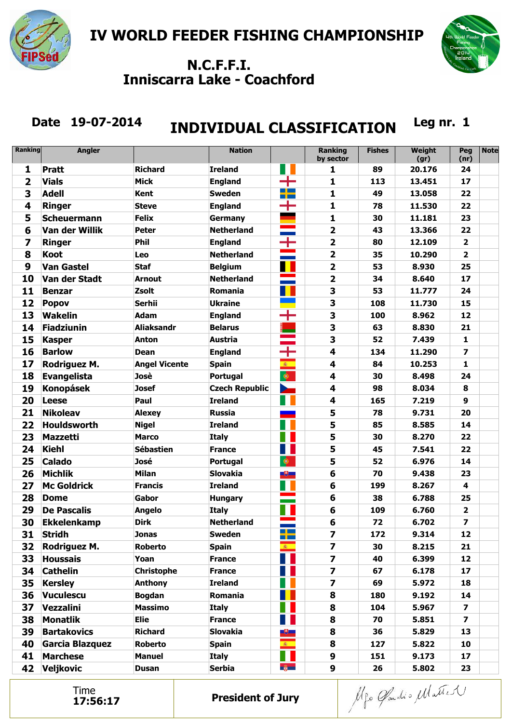



# Date 19-07-2014 **INDIVIDUAL CLASSIFICATION** Leg nr. 1

| <b>Ranking</b> | <b>Angler</b>      |                      | <b>Nation</b>         |                               | <b>Ranking</b><br>by sector | <b>Fishes</b> | <b>Weight</b><br>(gr) | Peg<br>(nr)             | <b>Note</b> |
|----------------|--------------------|----------------------|-----------------------|-------------------------------|-----------------------------|---------------|-----------------------|-------------------------|-------------|
| $\mathbf{1}$   | <b>Pratt</b>       | Richard              | <b>Ireland</b>        |                               | 1                           | 89            | 20.176                | 24                      |             |
| $\overline{2}$ | <b>Vials</b>       | <b>Mick</b>          | <b>England</b>        |                               | 1                           | 113           | 13.451                | 17                      |             |
| 3              | <b>Adell</b>       | <b>Kent</b>          | <b>Sweden</b>         | <u> Die Bes</u><br><b>TIP</b> | 1                           | 49            | 13.058                | 22                      |             |
| 4              | <b>Ringer</b>      | <b>Steve</b>         | <b>England</b>        | ╈                             | 1                           | 78            | 11.530                | 22                      |             |
| 5              | <b>Scheuermann</b> | <b>Felix</b>         | Germany               |                               | 1                           | 30            | 11.181                | 23                      |             |
| 6              | Van der Willik     | <b>Peter</b>         | <b>Netherland</b>     | <b>The Common</b>             | $\overline{\mathbf{2}}$     | 43            | 13.366                | 22                      |             |
| 7              | <b>Ringer</b>      | <b>Phil</b>          | <b>England</b>        | ┿                             | $\overline{\mathbf{2}}$     | 80            | 12.109                | $\overline{2}$          |             |
| 8              | <b>Koot</b>        | Leo                  | <b>Netherland</b>     |                               | $\overline{\mathbf{2}}$     | 35            | 10.290                | $\overline{2}$          |             |
| 9              | <b>Van Gastel</b>  | <b>Staf</b>          | <b>Belgium</b>        |                               | $\overline{\mathbf{2}}$     | 53            | 8.930                 | 25                      |             |
| 10             | Van der Stadt      | <b>Arnout</b>        | <b>Netherland</b>     |                               | $\overline{\mathbf{2}}$     | 34            | 8.640                 | 17                      |             |
| 11             | <b>Benzar</b>      | <b>Zsolt</b>         | Romania               |                               | 3                           | 53            | 11.777                | 24                      |             |
| 12             | <b>Popov</b>       | <b>Serhii</b>        | <b>Ukraine</b>        |                               | 3                           | 108           | 11.730                | 15                      |             |
| 13             | <b>Wakelin</b>     | <b>Adam</b>          | <b>England</b>        | ┿                             | 3                           | 100           | 8.962                 | 12                      |             |
| 14             | <b>Fiadziunin</b>  | Aliaksandr           | <b>Belarus</b>        |                               | 3                           | 63            | 8.830                 | 21                      |             |
| 15             | <b>Kasper</b>      | <b>Anton</b>         | <b>Austria</b>        |                               | 3                           | 52            | 7.439                 | $\mathbf{1}$            |             |
| 16             | <b>Barlow</b>      | <b>Dean</b>          | <b>England</b>        | ┿                             | $\overline{\mathbf{4}}$     | 134           | 11.290                | $\overline{\mathbf{z}}$ |             |
| 17             | Rodriguez M.       | <b>Angel Vicente</b> | <b>Spain</b>          | 圖                             | $\overline{\mathbf{4}}$     | 84            | 10.253                | $\mathbf{1}$            |             |
| 18             | <b>Evangelista</b> | Josè                 | <b>Portugal</b>       | $\circledast$                 | $\overline{\mathbf{4}}$     | 30            | 8.498                 | 24                      |             |
| 19             | <b>Konopásek</b>   | <b>Josef</b>         | <b>Czech Republic</b> | $\geq$                        | 4                           | 98            | 8.034                 | 8                       |             |
| 20             | <b>Leese</b>       | Paul                 | <b>Ireland</b>        |                               | 4                           | 165           | 7.219                 | 9                       |             |
| 21             | <b>Nikoleav</b>    | <b>Alexey</b>        | <b>Russia</b>         |                               | 5                           | 78            | 9.731                 | 20                      |             |
| 22             | <b>Houldsworth</b> | <b>Nigel</b>         | <b>Ireland</b>        |                               | 5                           | 85            | 8.585                 | 14                      |             |
| 23             | <b>Mazzetti</b>    | Marco                | <b>Italy</b>          |                               | 5                           | 30            | 8.270                 | 22                      |             |
| 24             | <b>Kiehl</b>       | <b>Sébastien</b>     | <b>France</b>         |                               | 5                           | 45            | 7.541                 | 22                      |             |
| 25             | <b>Calado</b>      | José                 | Portugal              | $\bullet$                     | 5                           | 52            | 6.976                 | 14                      |             |
| 26             | <b>Michlik</b>     | <b>Milan</b>         | <b>Slovakia</b>       | $\overline{\mathbb{R}}$       | 6                           | 70            | 9.438                 | 23                      |             |
| 27             | <b>Mc Goldrick</b> | <b>Francis</b>       | <b>Ireland</b>        |                               | $6\phantom{1}$              | 199           | 8.267                 | $\overline{\mathbf{4}}$ |             |
| 28             | <b>Dome</b>        | Gabor                | <b>Hungary</b>        |                               | 6                           | 38            | 6.788                 | 25                      |             |
| 29             | <b>De Pascalis</b> | <b>Angelo</b>        | <b>Italy</b>          |                               | 6                           | 109           | 6.760                 | $\overline{\mathbf{2}}$ |             |
| 30             | <b>Ekkelenkamp</b> | <b>Dirk</b>          | <b>Netherland</b>     |                               | $6\phantom{1}$              | 72            | 6.702                 | $\overline{\mathbf{z}}$ |             |
| 31             | <b>Stridh</b>      | <b>Jonas</b>         | <b>Sweden</b>         | <u>and the set</u><br>n po    | $\overline{\mathbf{z}}$     | 172           | 9.314                 | 12                      |             |
| 32             | Rodriguez M.       | Roberto              | <b>Spain</b>          | 6 1                           | $\overline{\mathbf{z}}$     | 30            | 8.215                 | 21                      |             |
| 33             | <b>Houssais</b>    | Yoan                 | <b>France</b>         |                               | $\overline{\mathbf{z}}$     | 40            | 6.399                 | 12                      |             |
| 34             | <b>Cathelin</b>    | <b>Christophe</b>    | <b>France</b>         |                               | $\overline{\mathbf{z}}$     | 67            | 6.178                 | 17                      |             |
| 35             | <b>Kersley</b>     | Anthony              | <b>Ireland</b>        |                               | 7                           | 69            | 5.972                 | 18                      |             |
| 36             | <b>Vuculescu</b>   | <b>Bogdan</b>        | Romania               |                               | 8                           | 180           | 9.192                 | 14                      |             |
| 37             | Vezzalini          | <b>Massimo</b>       | <b>Italy</b>          |                               | 8                           | 104           | 5.967                 | $\overline{\mathbf{z}}$ |             |
| 38             | <b>Monatlik</b>    | <b>Elie</b>          | <b>France</b>         |                               | 8                           | 70            | 5.851                 | $\overline{ }$          |             |
| 39             | <b>Bartakovics</b> | <b>Richard</b>       | <b>Slovakia</b>       | ₩                             | 8                           | 36            | 5.829                 | 13                      |             |
| 40             | Garcia Blazquez    | <b>Roberto</b>       | <b>Spain</b>          | <b>金</b>                      | 8                           | 127           | 5.822                 | 10                      |             |
| 41             | <b>Marchese</b>    | <b>Manuel</b>        | <b>Italy</b>          |                               | 9                           | 151           | 9.173                 | 17                      |             |
| 42             | <b>Veljkovic</b>   | <b>Dusan</b>         | <b>Serbia</b>         | $\frac{a}{2}$                 | 9                           | 26            | 5.802                 | 23                      |             |

Time<br>17:56:17

Alfo Gardio Matter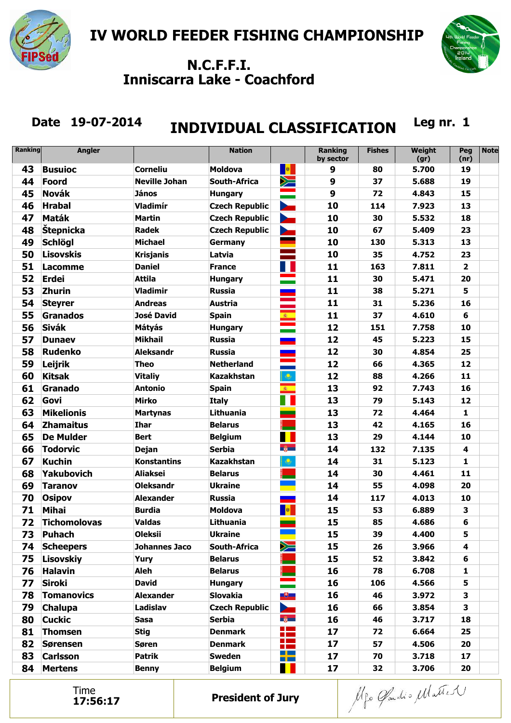



# Date 19-07-2014 **INDIVIDUAL CLASSIFICATION** Leg nr. 1

| <b>Ranking</b> | <b>Angler</b>       |                      | <b>Nation</b>         |                                 | <b>Ranking</b><br>by sector | <b>Fishes</b> | <b>Weight</b><br>(gr) | Peg<br>(nr)             | <b>Note</b> |
|----------------|---------------------|----------------------|-----------------------|---------------------------------|-----------------------------|---------------|-----------------------|-------------------------|-------------|
| 43             | <b>Busuioc</b>      | <b>Corneliu</b>      | <b>Moldova</b>        | <mark>。例</mark>                 | 9                           | 80            | 5.700                 | 19                      |             |
| 44             | Foord               | <b>Neville Johan</b> | <b>South-Africa</b>   | $\geq$                          | 9                           | 37            | 5.688                 | 19                      |             |
| 45             | <b>Novák</b>        | <b>János</b>         | <b>Hungary</b>        | $\sim$                          | 9                           | 72            | 4.843                 | 15                      |             |
| 46             | <b>Hrabal</b>       | Vladimír             | <b>Czech Republic</b> | <b>Part</b>                     | 10                          | 114           | 7.923                 | 13                      |             |
| 47             | <b>Maták</b>        | <b>Martin</b>        | <b>Czech Republic</b> | ⋗                               | 10                          | 30            | 5.532                 | 18                      |             |
| 48             | <b>Štepnicka</b>    | <b>Radek</b>         | <b>Czech Republic</b> |                                 | 10                          | 67            | 5.409                 | 23                      |             |
| 49             | <b>Schlögl</b>      | <b>Michael</b>       | Germany               |                                 | 10                          | 130           | 5.313                 | 13                      |             |
| 50             | <b>Lisovskis</b>    | <b>Krisjanis</b>     | Latvia                |                                 | 10                          | 35            | 4.752                 | 23                      |             |
| 51             | Lacomme             | <b>Daniel</b>        | <b>France</b>         |                                 | 11                          | 163           | 7.811                 | $\overline{\mathbf{2}}$ |             |
| 52             | <b>Erdei</b>        | <b>Attila</b>        | <b>Hungary</b>        |                                 | 11                          | 30            | 5.471                 | 20                      |             |
| 53             | <b>Zhurin</b>       | <b>Vladimir</b>      | <b>Russia</b>         |                                 | 11                          | 38            | 5.271                 | 5                       |             |
| 54             | <b>Steyrer</b>      | <b>Andreas</b>       | Austria               |                                 | 11                          | 31            | 5.236                 | 16                      |             |
| 55             | <b>Granados</b>     | <b>José David</b>    | <b>Spain</b>          |                                 | 11                          | 37            | 4.610                 | 6                       |             |
| 56             | <b>Sivák</b>        | <b>Mátyás</b>        | <b>Hungary</b>        |                                 | 12                          | 151           | 7.758                 | 10                      |             |
| 57             | <b>Dunaev</b>       | <b>Mikhail</b>       | <b>Russia</b>         | --                              | 12                          | 45            | 5.223                 | 15                      |             |
| 58             | <b>Rudenko</b>      | <b>Aleksandr</b>     | <b>Russia</b>         |                                 | 12                          | 30            | 4.854                 | 25                      |             |
| 59             | Leijrik             | <b>Theo</b>          | <b>Netherland</b>     |                                 | 12                          | 66            | 4.365                 | 12                      |             |
| 60             | <b>Kitsak</b>       | <b>Vitaliy</b>       | <b>Kazakhstan</b>     | $\mathbf{Q}$                    | 12                          | 88            | 4.266                 | 11                      |             |
| 61             | Granado             | <b>Antonio</b>       | <b>Spain</b>          | 第二                              | 13                          | 92            | 7.743                 | 16                      |             |
| 62             | Govi                | <b>Mirko</b>         | <b>Italy</b>          |                                 | 13                          | 79            | 5.143                 | 12                      |             |
| 63             | <b>Mikelionis</b>   | <b>Martynas</b>      | Lithuania             |                                 | 13                          | 72            | 4.464                 | $\mathbf{1}$            |             |
| 64             | <b>Zhamaitus</b>    | <b>Ihar</b>          | <b>Belarus</b>        |                                 | 13                          | 42            | 4.165                 | 16                      |             |
| 65             | <b>De Mulder</b>    | <b>Bert</b>          | <b>Belgium</b>        | <b>TELESCOPE</b>                | 13                          | 29            | 4.144                 | 10                      |             |
| 66             | <b>Todorvic</b>     | <b>Dejan</b>         | <b>Serbia</b>         | $\frac{2}{3}$                   | 14                          | 132           | 7.135                 | $\overline{\mathbf{4}}$ |             |
| 67             | <b>Kuchin</b>       | <b>Konstantins</b>   | <b>Kazakhstan</b>     | $\ddot{\mathbf{Q}}$             | 14                          | 31            | 5.123                 | 1                       |             |
| 68             | <b>Yakubovich</b>   | <b>Aliaksei</b>      | <b>Belarus</b>        |                                 | 14                          | 30            | 4.461                 | 11                      |             |
| 69             | <b>Taranov</b>      | <b>Oleksandr</b>     | <b>Ukraine</b>        |                                 | 14                          | 55            | 4.098                 | 20                      |             |
| 70             | <b>Osipov</b>       | <b>Alexander</b>     | <b>Russia</b>         |                                 | 14                          | 117           | 4.013                 | 10                      |             |
| 71             | <b>Mihai</b>        | <b>Burdia</b>        | <b>Moldova</b>        | $\blacksquare$                  | 15                          | 53            | 6.889                 | 3                       |             |
| 72             | <b>Tichomolovas</b> | <b>Valdas</b>        | Lithuania             | <u>e a</u>                      | 15                          | 85            | 4.686                 | 6                       |             |
| 73             | <b>Puhach</b>       | <b>Oleksii</b>       | <b>Ukraine</b>        |                                 | 15                          | 39            | 4.400                 | 5                       |             |
| 74             | <b>Scheepers</b>    | <b>Johannes Jaco</b> | South-Africa          | $\geq$                          | 15                          | 26            | 3.966                 | 4                       |             |
| 75             | <b>Lisovskiy</b>    | Yury                 | <b>Belarus</b>        |                                 | 15                          | 52            | 3.842                 | 6                       |             |
| 76             | <b>Halavin</b>      | Aleh                 | <b>Belarus</b>        |                                 | 16                          | 78            | 6.708                 | 1                       |             |
| 77             | <b>Siroki</b>       | <b>David</b>         | <b>Hungary</b>        |                                 | 16                          | 106           | 4.566                 | 5                       |             |
| 78             | <b>Tomanovics</b>   | <b>Alexander</b>     | <b>Slovakia</b>       | $\mathbb{R}^+$                  | 16                          | 46            | 3.972                 | 3                       |             |
| 79             | <b>Chalupa</b>      | Ladislav             | <b>Czech Republic</b> | $\sum$                          | 16                          | 66            | 3.854                 | 3                       |             |
| 80             | <b>Cuckic</b>       | <b>Sasa</b>          | <b>Serbia</b>         | $\frac{2}{3}$                   | 16                          | 46            | 3.717                 | 18                      |             |
| 81             | <b>Thomsen</b>      | <b>Stig</b>          | <b>Denmark</b>        | ٢m                              | 17                          | 72            | 6.664                 | 25                      |             |
| 82             | <b>Sørensen</b>     | Søren                | <b>Denmark</b>        | $\mathbf{L}$<br><b>Contract</b> | 17                          | 57            | 4.506                 | 20                      |             |
| 83             | <b>Carlsson</b>     | <b>Patrik</b>        | <b>Sweden</b>         | <u>a kara</u><br><b>BI BEE</b>  | 17                          | 70            | 3.718                 | 17                      |             |
| 84             | <b>Mertens</b>      | <b>Benny</b>         | <b>Belgium</b>        | Ш.                              | 17                          | 32            | 3.706                 | 20                      |             |

Time<br>17:56:17

Alfo Gardio Matter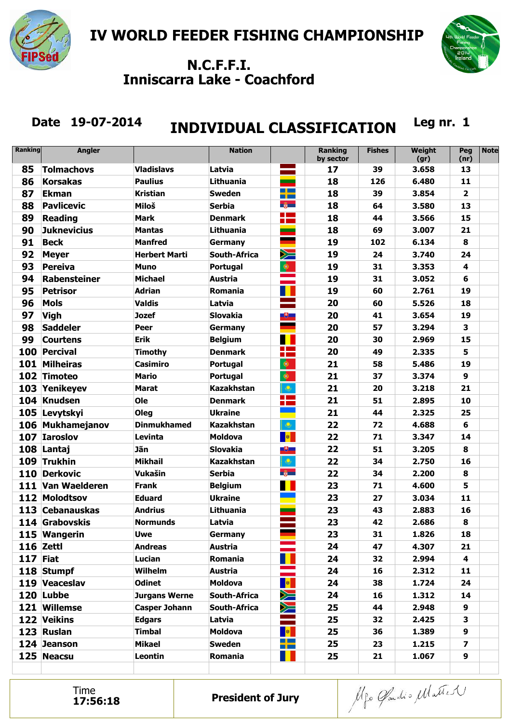



# Date 19-07-2014 **INDIVIDUAL CLASSIFICATION** Leg nr. 1

| Ranking  | <b>Angler</b>       |                      | <b>Nation</b>       |                                      | <b>Ranking</b><br>by sector | <b>Fishes</b> | <b>Weight</b><br>(gr) | Peg<br>(nr)             | <b>Note</b> |
|----------|---------------------|----------------------|---------------------|--------------------------------------|-----------------------------|---------------|-----------------------|-------------------------|-------------|
| 85       | <b>Tolmachovs</b>   | <b>Vladislavs</b>    | Latvia              |                                      | 17                          | 39            | 3.658                 | 13                      |             |
| 86       | <b>Korsakas</b>     | <b>Paulius</b>       | Lithuania           |                                      | 18                          | 126           | 6.480                 | 11                      |             |
| 87       | <b>Ekman</b>        | Kristian             | <b>Sweden</b>       | $\Box$ $\Box$<br>m pro               | 18                          | 39            | 3.854                 | $\overline{2}$          |             |
| 88       | <b>Pavlicevic</b>   | Miloš                | <b>Serbia</b>       | $\frac{2}{\sqrt{2}}$                 | 18                          | 64            | 3.580                 | 13                      |             |
| 89       | <b>Reading</b>      | <b>Mark</b>          | <b>Denmark</b>      | <b>College</b><br><b>College</b>     | 18                          | 44            | 3.566                 | 15                      |             |
| 90       | <b>Juknevicius</b>  | Mantas               | Lithuania           |                                      | 18                          | 69            | 3.007                 | 21                      |             |
| 91       | <b>Beck</b>         | <b>Manfred</b>       | Germany             |                                      | 19                          | 102           | 6.134                 | 8                       |             |
| 92       | <b>Meyer</b>        | <b>Herbert Marti</b> | <b>South-Africa</b> | $\geq$                               | 19                          | 24            | 3.740                 | 24                      |             |
| 93       | <b>Pereiva</b>      | <b>Muno</b>          | Portugal            | $\bullet$                            | 19                          | 31            | 3.353                 | 4                       |             |
| 94       | <b>Rabensteiner</b> | <b>Michael</b>       | <b>Austria</b>      |                                      | 19                          | 31            | 3.052                 | 6                       |             |
| 95       | <b>Petrisor</b>     | <b>Adrian</b>        | Romania             |                                      | 19                          | 60            | 2.761                 | 19                      |             |
| 96       | <b>Mols</b>         | <b>Valdis</b>        | Latvia              |                                      | 20                          | 60            | 5.526                 | 18                      |             |
| 97       | <b>Vigh</b>         | <b>Jozef</b>         | <b>Slovakia</b>     | $\overline{\mathbf{e}}$              | 20                          | 41            | 3.654                 | 19                      |             |
| 98       | <b>Saddeler</b>     | Peer                 | Germany             |                                      | 20                          | 57            | 3.294                 | 3                       |             |
| 99       | <b>Courtens</b>     | <b>Erik</b>          | <b>Belgium</b>      | ٠                                    | 20                          | 30            | 2.969                 | 15                      |             |
| 100      | <b>Percival</b>     | Timothy              | <b>Denmark</b>      | <b>The Company</b><br><b>College</b> | 20                          | 49            | 2.335                 | 5                       |             |
|          | 101 Milheiras       | Casimiro             | Portugal            | $\bullet$                            | 21                          | 58            | 5.486                 | 19                      |             |
|          | 102 Timoteo         | <b>Mario</b>         | Portugal            | $\bullet$                            | 21                          | 37            | 3.374                 | 9                       |             |
|          | 103 Yenikeyev       | <b>Marat</b>         | <b>Kazakhstan</b>   | $\mathbf{\Theta}$                    | 21                          | 20            | 3.218                 | 21                      |             |
|          | 104 Knudsen         | Ole                  | <b>Denmark</b>      | <u>a ka</u><br><b>College</b>        | 21                          | 51            | 2.895                 | 10                      |             |
|          | 105 Levytskyi       | Oleg                 | <b>Ukraine</b>      |                                      | 21                          | 44            | 2.325                 | 25                      |             |
|          | 106 Mukhamejanov    | <b>Dinmukhamed</b>   | <b>Kazakhstan</b>   | $\ddot{\mathcal{Q}}$                 | 22                          | 72            | 4.688                 | 6                       |             |
| 107      | <b>Iaroslov</b>     | Levinta              | <b>Moldova</b>      | <b>Alle</b>                          | 22                          | 71            | 3.347                 | 14                      |             |
|          | 108 Lantaj          | Jãn                  | <b>Slovakia</b>     | $\mathbb{R}^+$                       | 22                          | 51            | 3.205                 | 8                       |             |
| 109      | <b>Trukhin</b>      | <b>Mikhail</b>       | <b>Kazakhstan</b>   | $\ddot{\mathbf{Q}}$                  | 22                          | 34            | 2.750                 | 16                      |             |
| 110      | <b>Derkovic</b>     | Vukašin              | <b>Serbia</b>       | $\frac{2}{\sqrt{2}}$                 | 22                          | 34            | 2.200                 | 8                       |             |
|          | 111 Van Waelderen   | <b>Frank</b>         | <b>Belgium</b>      |                                      | 23                          | 71            | 4.600                 | 5                       |             |
|          | 112 Molodtsov       | Eduard               | <b>Ukraine</b>      |                                      | 23                          | 27            | 3.034                 | 11                      |             |
|          | 113 Cebanauskas     | <b>Andrius</b>       | Lithuania           |                                      | 23                          | 43            | 2.883                 | 16                      |             |
|          | 114 Grabovskis      | <b>Normunds</b>      | Latvia              |                                      | 23                          | 42            | 2.686                 | 8                       |             |
|          | 115 Wangerin        | <b>Uwe</b>           | <b>Germany</b>      |                                      | 23                          | 31            | 1.826                 | 18                      |             |
|          | 116 Zettl           | <b>Andreas</b>       | <b>Austria</b>      |                                      | 24                          | 47            | 4.307                 | 21                      |             |
| 117 Fiat |                     | Lucian               | Romania             |                                      | 24                          | 32            | 2.994                 | 4                       |             |
|          | 118 Stumpf          | <b>Wilhelm</b>       | <b>Austria</b>      |                                      | 24                          | 16            | 2.312                 | 11                      |             |
|          | 119 Veaceslav       | <b>Odinet</b>        | <b>Moldova</b>      | $\parallel \bullet \parallel$        | 24                          | 38            | 1.724                 | 24                      |             |
|          | 120 Lubbe           | <b>Jurgans Werne</b> | South-Africa        | $\geqslant$                          | 24                          | 16            | 1.312                 | 14                      |             |
|          | 121 Willemse        | <b>Casper Johann</b> | South-Africa        | $\geq$                               | 25                          | 44            | 2.948                 | 9                       |             |
|          | 122 Veikins         | <b>Edgars</b>        | Latvia              |                                      | 25                          | 32            | 2.425                 | 3                       |             |
|          | 123 Ruslan          | <b>Timbal</b>        | <b>Moldova</b>      | $\parallel$                          | 25                          | 36            | 1.389                 | 9                       |             |
|          | 124 Jeanson         | <b>Mikael</b>        | <b>Sweden</b>       | <u> Her</u><br><b>TIME</b>           | 25                          | 23            | 1.215                 | $\overline{\mathbf{z}}$ |             |
|          | 125 Neacsu          | Leontin              | Romania             | T L                                  | 25                          | 21            | 1.067                 | 9                       |             |

Time<br>17:56:18

Alfo Gardio Matter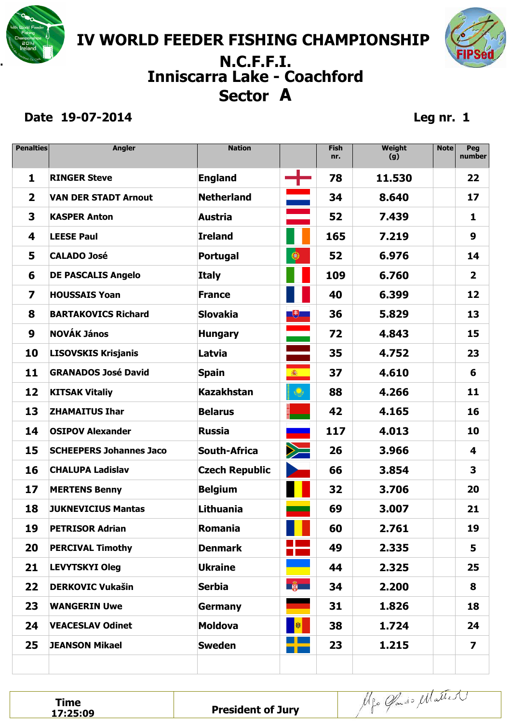**IV WORLD FEEDER FISHING CHAMPIONSHIP** 

## **Sector A . N.C.F.F.I. Inniscarra Lake - Coachford**

#### **Date 19-07-2014 Leg nr. 1**

FIPS

| <b>Penalties</b> | <b>Angler</b>                  | <b>Nation</b>         |                                                                            | <b>Fish</b><br>nr. | Weight<br>(g) | <b>Note</b> | Peg<br>number           |
|------------------|--------------------------------|-----------------------|----------------------------------------------------------------------------|--------------------|---------------|-------------|-------------------------|
| 1                | <b>RINGER Steve</b>            | <b>England</b>        | $\blacksquare$                                                             | 78                 | 11.530        |             | 22                      |
| 2                | <b>VAN DER STADT Arnout</b>    | <b>Netherland</b>     | $\equiv$                                                                   | 34                 | 8.640         |             | 17                      |
| 3                | <b>KASPER Anton</b>            | <b>Austria</b>        |                                                                            | 52                 | 7.439         |             | 1                       |
| 4                | <b>LEESE Paul</b>              | <b>Ireland</b>        |                                                                            | 165                | 7.219         |             | 9                       |
| 5                | <b>CALADO José</b>             | <b>Portugal</b>       | $\bullet$                                                                  | 52                 | 6.976         |             | 14                      |
| 6                | <b>DE PASCALIS Angelo</b>      | <b>Italy</b>          |                                                                            | 109                | 6.760         |             | $\overline{\mathbf{2}}$ |
| 7                | <b>HOUSSAIS Yoan</b>           | <b>France</b>         |                                                                            | 40                 | 6.399         |             | 12                      |
| 8                | <b>BARTAKOVICS Richard</b>     | <b>Slovakia</b>       | $\begin{array}{ c c } \hline \textbf{+} & \textbf{+} \ \hline \end{array}$ | 36                 | 5.829         |             | 13                      |
| 9                | <b>NOVÁK János</b>             | <b>Hungary</b>        |                                                                            | 72                 | 4.843         |             | 15                      |
| 10               | <b>LISOVSKIS Krisjanis</b>     | Latvia                |                                                                            | 35                 | 4.752         |             | 23                      |
| 11               | <b>GRANADOS José David</b>     | <b>Spain</b>          | 瓣                                                                          | 37                 | 4.610         |             | 6                       |
| 12               | <b>KITSAK Vitaliy</b>          | <b>Kazakhstan</b>     | $\mathbf{\mathbb{Q}}$                                                      | 88                 | 4.266         |             | 11                      |
| 13               | <b>ZHAMAITUS Ihar</b>          | <b>Belarus</b>        |                                                                            | 42                 | 4.165         |             | 16                      |
| 14               | <b>OSIPOV Alexander</b>        | <b>Russia</b>         |                                                                            | 117                | 4.013         |             | 10                      |
| 15               | <b>SCHEEPERS Johannes Jaco</b> | <b>South-Africa</b>   | $\geq$                                                                     | 26                 | 3.966         |             | 4                       |
| 16               | <b>CHALUPA Ladislav</b>        | <b>Czech Republic</b> |                                                                            | 66                 | 3.854         |             | 3                       |
| 17               | <b>MERTENS Benny</b>           | <b>Belgium</b>        |                                                                            | 32                 | 3.706         |             | 20                      |
| 18               | <b>JUKNEVICIUS Mantas</b>      | Lithuania             |                                                                            | 69                 | 3.007         |             | 21                      |
| 19               | <b>PETRISOR Adrian</b>         | Romania               |                                                                            | 60                 | 2.761         |             | 19                      |
| 20               | <b>PERCIVAL Timothy</b>        | <b>Denmark</b>        | <b>CONTRACTOR</b><br>$\sim 10^{11}$                                        | 49                 | 2.335         |             | 5                       |
| 21               | <b>LEVYTSKYI Oleg</b>          | <b>Ukraine</b>        |                                                                            | 44                 | 2.325         |             | 25                      |
| 22               | <b>DERKOVIC Vukašin</b>        | <b>Serbia</b>         | <b>B</b>                                                                   | 34                 | 2.200         |             | 8                       |
| 23               | <b>WANGERIN Uwe</b>            | <b>Germany</b>        |                                                                            | 31                 | 1.826         |             | 18                      |
| 24               | <b>VEACESLAV Odinet</b>        | <b>Moldova</b>        | 劇                                                                          | 38                 | 1.724         |             | 24                      |
| 25               | <b>JEANSON Mikael</b>          | <b>Sweden</b>         |                                                                            | 23                 | 1.215         |             | $\overline{\mathbf{z}}$ |
|                  |                                |                       |                                                                            |                    |               |             |                         |

**Time**<br>**17:25:09** 

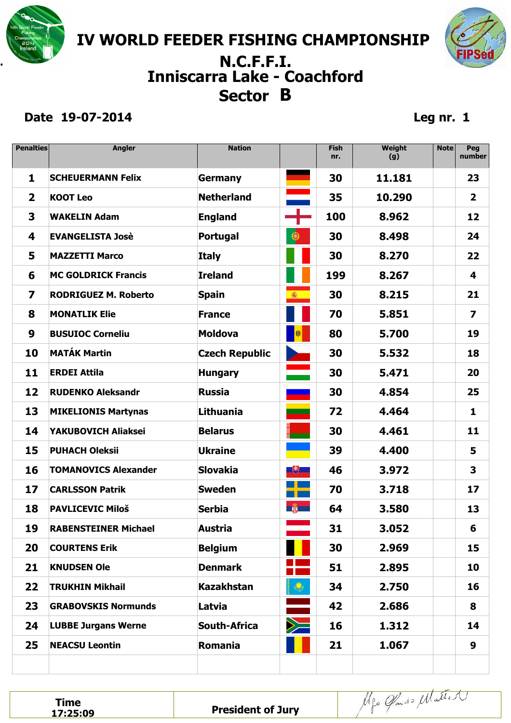

# **Sector B . N.C.F.F.I. Inniscarra Lake - Coachford**

#### **Date 19-07-2014 Leg nr. 1**

FIPS

| <b>Penalties</b>        | <b>Angler</b>               | <b>Nation</b>         |                           | <b>Fish</b><br>nr. | Weight<br>(g) | <b>Note</b> | Peg<br>number           |
|-------------------------|-----------------------------|-----------------------|---------------------------|--------------------|---------------|-------------|-------------------------|
| 1                       | <b>SCHEUERMANN Felix</b>    | <b>Germany</b>        |                           | 30                 | 11.181        |             | 23                      |
| $\overline{\mathbf{2}}$ | <b>KOOT Leo</b>             | <b>Netherland</b>     | dia arte.<br>Alimento     | 35                 | 10.290        |             | $\overline{\mathbf{2}}$ |
| 3                       | <b>WAKELIN Adam</b>         | <b>England</b>        |                           | 100                | 8.962         |             | 12                      |
| 4                       | <b>EVANGELISTA Josè</b>     | <b>Portugal</b>       | $\bullet$                 | 30                 | 8.498         |             | 24                      |
| 5                       | <b>MAZZETTI Marco</b>       | <b>Italy</b>          |                           | 30                 | 8.270         |             | 22                      |
| 6                       | <b>MC GOLDRICK Francis</b>  | <b>Ireland</b>        |                           | 199                | 8.267         |             | 4                       |
| 7                       | <b>RODRIGUEZ M. Roberto</b> | <b>Spain</b>          | 瓣                         | 30                 | 8.215         |             | 21                      |
| 8                       | <b>MONATLIK Elie</b>        | <b>France</b>         |                           | 70                 | 5.851         |             | $\overline{\mathbf{z}}$ |
| 9                       | <b>BUSUIOC Corneliu</b>     | <b>Moldova</b>        |                           | 80                 | 5.700         |             | 19                      |
| 10                      | <b>MATÁK Martin</b>         | <b>Czech Republic</b> |                           | 30                 | 5.532         |             | 18                      |
| 11                      | <b>ERDEI Attila</b>         | <b>Hungary</b>        |                           | 30                 | 5.471         |             | 20                      |
| 12                      | <b>RUDENKO Aleksandr</b>    | <b>Russia</b>         |                           | 30                 | 4.854         |             | 25                      |
| 13                      | <b>MIKELIONIS Martynas</b>  | Lithuania             |                           | 72                 | 4.464         |             | 1                       |
| 14                      | YAKUBOVICH Aliaksei         | <b>Belarus</b>        |                           | 30                 | 4.461         |             | 11                      |
| 15                      | <b>PUHACH Oleksii</b>       | <b>Ukraine</b>        |                           | 39                 | 4.400         |             | 5                       |
| 16                      | <b>TOMANOVICS Alexander</b> | <b>Slovakia</b>       | $\Box$                    | 46                 | 3.972         |             | 3                       |
| 17                      | <b>CARLSSON Patrik</b>      | <b>Sweden</b>         | a <mark>i</mark> ka<br>n۱ | 70                 | 3.718         |             | 17                      |
| 18                      | <b>PAVLICEVIC Miloš</b>     | <b>Serbia</b>         | <b>B</b>                  | 64                 | 3.580         |             | 13                      |
| 19                      | <b>RABENSTEINER Michael</b> | Austria               |                           | 31                 | 3.052         |             | 6                       |
| 20                      | <b>COURTENS Erik</b>        | <b>Belgium</b>        |                           | 30                 | 2.969         |             | 15                      |
| 21                      | <b>KNUDSEN Ole</b>          | <b>Denmark</b>        |                           | 51                 | 2.895         |             | 10                      |
| 22                      | <b>TRUKHIN Mikhail</b>      | <b>Kazakhstan</b>     | $\ddot{\mathcal{Q}}$      | 34                 | 2.750         |             | 16                      |
| 23                      | <b>GRABOVSKIS Normunds</b>  | Latvia                |                           | 42                 | 2.686         |             | 8                       |
| 24                      | <b>LUBBE Jurgans Werne</b>  | <b>South-Africa</b>   | $\geq$                    | 16                 | 1.312         |             | 14                      |
| 25                      | <b>NEACSU Leontin</b>       | Romania               |                           | 21                 | 1.067         |             | 9                       |
|                         |                             |                       |                           |                    |               |             |                         |

**Time**<br>**17:25:09** 

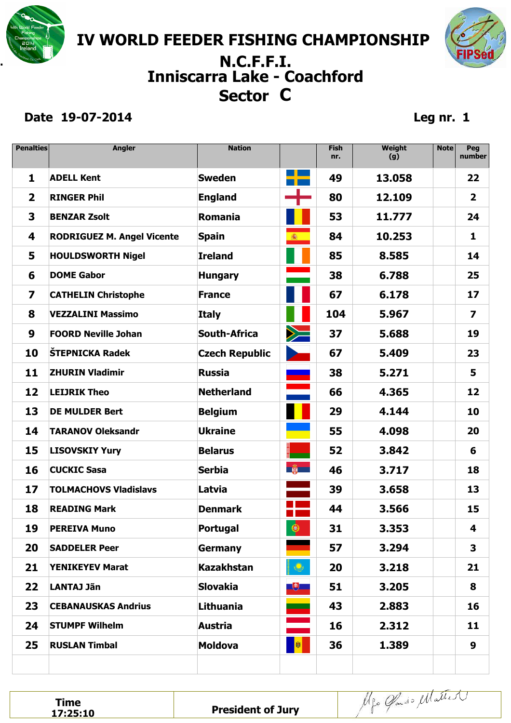

## **Sector C . N.C.F.F.I. Inniscarra Lake - Coachford**

#### **Date 19-07-2014 Leg nr. 1**

FIPS

| <b>Penalties</b>        | <b>Angler</b>                     | <b>Nation</b>         |                                                                                                                                                                                                                                                    | <b>Fish</b><br>nr. | Weight<br>(g) | <b>Note</b> | Peg<br>number           |
|-------------------------|-----------------------------------|-----------------------|----------------------------------------------------------------------------------------------------------------------------------------------------------------------------------------------------------------------------------------------------|--------------------|---------------|-------------|-------------------------|
| 1                       | <b>ADELL Kent</b>                 | <b>Sweden</b>         |                                                                                                                                                                                                                                                    | 49                 | 13.058        |             | 22                      |
| $\overline{\mathbf{2}}$ | <b>RINGER Phil</b>                | <b>England</b>        |                                                                                                                                                                                                                                                    | 80                 | 12.109        |             | $\overline{\mathbf{2}}$ |
| 3                       | <b>BENZAR Zsolt</b>               | Romania               |                                                                                                                                                                                                                                                    | 53                 | 11.777        |             | 24                      |
| 4                       | <b>RODRIGUEZ M. Angel Vicente</b> | <b>Spain</b>          | 瓣                                                                                                                                                                                                                                                  | 84                 | 10.253        |             | 1                       |
| 5                       | <b>HOULDSWORTH Nigel</b>          | <b>Ireland</b>        |                                                                                                                                                                                                                                                    | 85                 | 8.585         |             | 14                      |
| 6                       | <b>DOME Gabor</b>                 | <b>Hungary</b>        |                                                                                                                                                                                                                                                    | 38                 | 6.788         |             | 25                      |
| 7                       | <b>CATHELIN Christophe</b>        | <b>France</b>         |                                                                                                                                                                                                                                                    | 67                 | 6.178         |             | 17                      |
| 8                       | <b>VEZZALINI Massimo</b>          | <b>Italy</b>          |                                                                                                                                                                                                                                                    | 104                | 5.967         |             | $\overline{z}$          |
| 9                       | <b>FOORD Neville Johan</b>        | <b>South-Africa</b>   | $\geq$                                                                                                                                                                                                                                             | 37                 | 5.688         |             | 19                      |
| 10                      | ŠTEPNICKA Radek                   | <b>Czech Republic</b> |                                                                                                                                                                                                                                                    | 67                 | 5.409         |             | 23                      |
| 11                      | <b>ZHURIN Vladimir</b>            | <b>Russia</b>         |                                                                                                                                                                                                                                                    | 38                 | 5.271         |             | 5                       |
| 12                      | <b>LEIJRIK Theo</b>               | <b>Netherland</b>     |                                                                                                                                                                                                                                                    | 66                 | 4.365         |             | 12                      |
| 13                      | <b>DE MULDER Bert</b>             | <b>Belgium</b>        |                                                                                                                                                                                                                                                    | 29                 | 4.144         |             | 10                      |
| 14                      | <b>TARANOV Oleksandr</b>          | <b>Ukraine</b>        |                                                                                                                                                                                                                                                    | 55                 | 4.098         |             | 20                      |
| 15                      | <b>LISOVSKIY Yury</b>             | <b>Belarus</b>        |                                                                                                                                                                                                                                                    | 52                 | 3.842         |             | 6                       |
| 16                      | <b>CUCKIC Sasa</b>                | <b>Serbia</b>         | <b>B</b>                                                                                                                                                                                                                                           | 46                 | 3.717         |             | 18                      |
| 17                      | <b>TOLMACHOVS Vladislavs</b>      | Latvia                |                                                                                                                                                                                                                                                    | 39                 | 3.658         |             | 13                      |
| 18                      | <b>READING Mark</b>               | <b>Denmark</b>        | a l                                                                                                                                                                                                                                                | 44                 | 3.566         |             | 15                      |
| 19                      | <b>PEREIVA Muno</b>               | <b>Portugal</b>       | $\bigcirc$<br><u>the state of the state of the state of the state of the state of the state of the state of the state of the state of the state of the state of the state of the state of the state of the state of the state of the state of </u> | 31                 | 3.353         |             | 4                       |
| 20                      | <b>SADDELER Peer</b>              | <b>Germany</b>        |                                                                                                                                                                                                                                                    | 57                 | 3.294         |             | 3                       |
| 21                      | <b>YENIKEYEV Marat</b>            | <b>Kazakhstan</b>     | $ \bullet $                                                                                                                                                                                                                                        | 20                 | 3.218         |             | 21                      |
| 22                      | <b>LANTAJ Jãn</b>                 | <b>Slovakia</b>       | $+$                                                                                                                                                                                                                                                | 51                 | 3.205         |             | 8                       |
| 23                      | <b>CEBANAUSKAS Andrius</b>        | Lithuania             | ╾                                                                                                                                                                                                                                                  | 43                 | 2.883         |             | 16                      |
| 24                      | <b>STUMPF Wilhelm</b>             | <b>Austria</b>        |                                                                                                                                                                                                                                                    | 16                 | 2.312         |             | 11                      |
| 25                      | <b>RUSLAN Timbal</b>              | <b>Moldova</b>        | <mark>。谢</mark>                                                                                                                                                                                                                                    | 36                 | 1.389         |             | 9                       |
|                         |                                   |                       |                                                                                                                                                                                                                                                    |                    |               |             |                         |

**Time**<br>**17:25:10** 

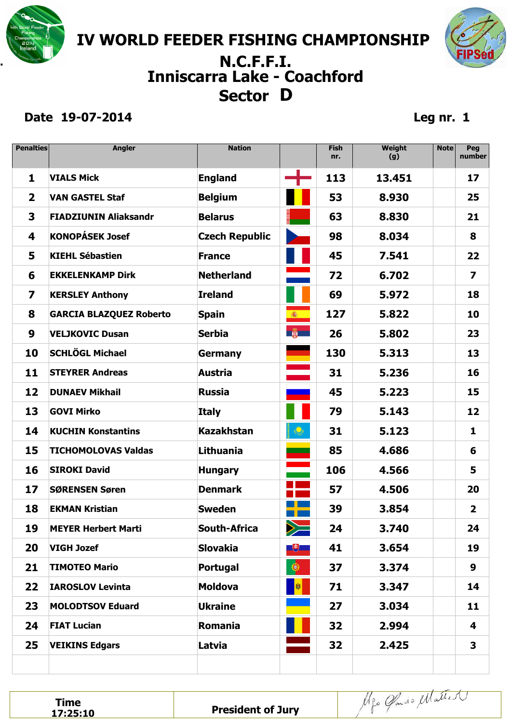**IV WORLD FEEDER FISHING CHAMPIONSHIP** 

## **Sector D . N.C.F.F.I. Inniscarra Lake - Coachford**

#### **Date 19-07-2014 Leg nr. 1**

FIPS

| <b>Penalties</b> | <b>Angler</b>                  | <b>Nation</b>         |                                                                                                       | <b>Fish</b><br>nr. | Weight<br>(g) | <b>Note</b> | Peg<br>number           |
|------------------|--------------------------------|-----------------------|-------------------------------------------------------------------------------------------------------|--------------------|---------------|-------------|-------------------------|
| 1                | <b>VIALS Mick</b>              | <b>England</b>        | ┽                                                                                                     | 113                | 13.451        |             | 17                      |
| $\mathbf{2}$     | <b>VAN GASTEL Staf</b>         | <b>Belgium</b>        |                                                                                                       | 53                 | 8.930         |             | 25                      |
| 3                | <b>FIADZIUNIN Aliaksandr</b>   | <b>Belarus</b>        |                                                                                                       | 63                 | 8.830         |             | 21                      |
| 4                | <b>KONOPÁSEK Josef</b>         | <b>Czech Republic</b> |                                                                                                       | 98                 | 8.034         |             | 8                       |
| 5                | <b>KIEHL Sébastien</b>         | <b>France</b>         |                                                                                                       | 45                 | 7.541         |             | 22                      |
| 6                | <b>EKKELENKAMP Dirk</b>        | <b>Netherland</b>     |                                                                                                       | 72                 | 6.702         |             | $\overline{z}$          |
| 7                | <b>KERSLEY Anthony</b>         | <b>Ireland</b>        |                                                                                                       | 69                 | 5.972         |             | 18                      |
| 8                | <b>GARCIA BLAZQUEZ Roberto</b> | <b>Spain</b>          |                                                                                                       | 127                | 5.822         |             | 10                      |
| 9                | <b>VELJKOVIC Dusan</b>         | <b>Serbia</b>         | $\frac{1}{2}$                                                                                         | 26                 | 5.802         |             | 23                      |
| 10               | <b>SCHLÖGL Michael</b>         | <b>Germany</b>        |                                                                                                       | 130                | 5.313         |             | 13                      |
| 11               | <b>STEYRER Andreas</b>         | <b>Austria</b>        |                                                                                                       | 31                 | 5.236         |             | 16                      |
| 12               | <b>DUNAEV Mikhail</b>          | <b>Russia</b>         |                                                                                                       | 45                 | 5.223         |             | 15                      |
| 13               | <b>GOVI Mirko</b>              | <b>Italy</b>          |                                                                                                       | 79                 | 5.143         |             | 12                      |
| 14               | <b>KUCHIN Konstantins</b>      | <b>Kazakhstan</b>     | $\mathbf{\Theta}$                                                                                     | 31                 | 5.123         |             | 1                       |
| 15               | <b>TICHOMOLOVAS Valdas</b>     | Lithuania             |                                                                                                       | 85                 | 4.686         |             | 6                       |
| 16               | <b>SIROKI David</b>            | <b>Hungary</b>        |                                                                                                       | 106                | 4.566         |             | 5                       |
| 17               | <b>SØRENSEN Søren</b>          | <b>Denmark</b>        | - 1<br>$\mathcal{L}(\mathcal{L})$ and $\mathcal{L}(\mathcal{L})$ and $\mathcal{L}(\mathcal{L})$<br>T. | 57                 | 4.506         |             | 20                      |
| 18               | <b>EKMAN Kristian</b>          | <b>Sweden</b>         |                                                                                                       | 39                 | 3.854         |             | $\overline{\mathbf{2}}$ |
| 19               | <b>MEYER Herbert Marti</b>     | <b>South-Africa</b>   | $\geq$                                                                                                | 24                 | 3.740         |             | 24                      |
| 20               | <b>VIGH Jozef</b>              | <b>Slovakia</b>       | $\begin{array}{ c c } \hline \textbf{+} & \textbf{+} \ \hline \end{array}$                            | 41                 | 3.654         |             | 19                      |
| 21               | <b>TIMOTEO Mario</b>           | Portugal              | $\bullet$                                                                                             | 37                 | 3.374         |             | 9                       |
| 22               | <b>IAROSLOV Levinta</b>        | <b>Moldova</b>        | <b>M</b>                                                                                              | 71                 | 3.347         |             | 14                      |
| 23               | <b>MOLODTSOV Eduard</b>        | <b>Ukraine</b>        |                                                                                                       | 27                 | 3.034         |             | 11                      |
| 24               | <b>FIAT Lucian</b>             | <b>Romania</b>        |                                                                                                       | 32                 | 2.994         |             | 4                       |
| 25               | <b>VEIKINS Edgars</b>          | Latvia                |                                                                                                       | 32                 | 2.425         |             | 3                       |
|                  |                                |                       |                                                                                                       |                    |               |             |                         |

**Time**<br>**17:25:10**